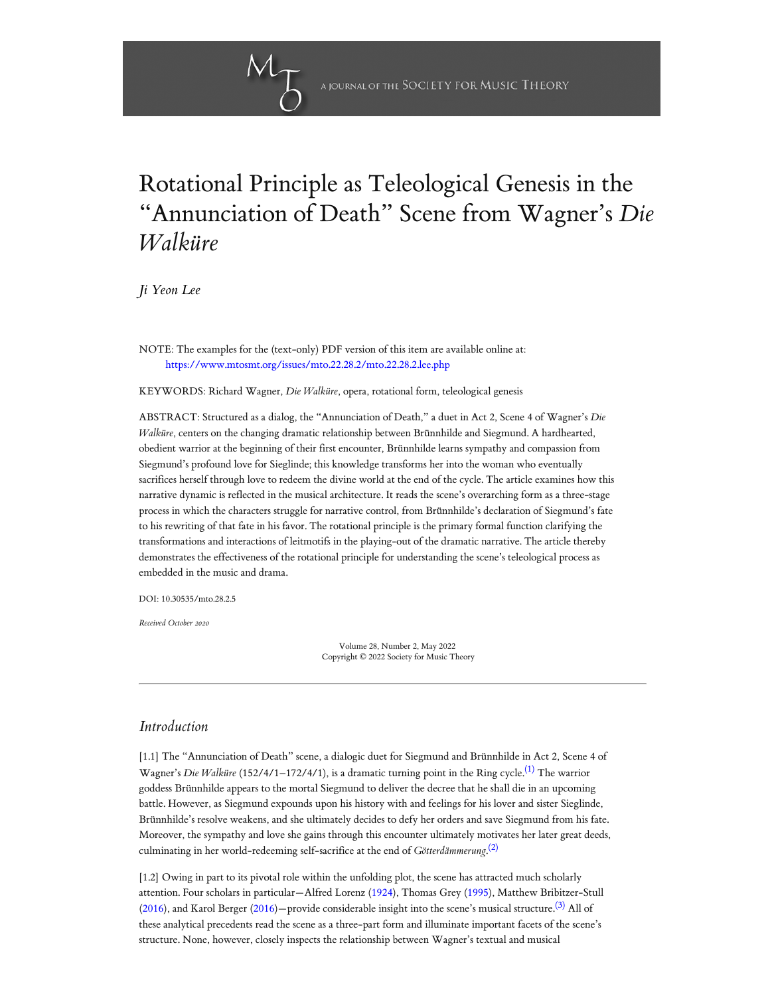# Rotational Principle as Teleological Genesis in the "Annunciation of Death" Scene from Wagner ' s *Die Walküre*

*[Ji Yeon Lee](#page-7-0)*

NOTE: The examples for the (text-only) PDF version of this item are available online at: <https://www.mtosmt.org/issues/mto.22.28.2/mto.22.28.2.lee.php>

KEYWORDS: Richard Wagner, *Die Walküre*, opera, rotational form, teleological genesis

ABSTRACT: Structured as a dialog, the "Annunciation of Death," a duet in Act 2, Scene 4 of Wagner's *Die Walküre*, centers on the changing dramatic relationship between Brünnhilde and Siegmund. A hardhearted, obedient warrior at the beginning of their first encounter, Brünnhilde learns sympathy and compassion from Siegmund's profound love for Sieglinde; this knowledge transforms her into the woman who eventually sacrifices herself through love to redeem the divine world at the end of the cycle. The article examines how this narrative dynamic is reflected in the musical architecture. It reads the scene's overarching form as a three-stage process in which the characters struggle for narrative control, from Brünnhilde's declaration of Siegmund's fate to his rewriting of that fate in his favor. The rotational principle is the primary formal function clarifying the transformations and interactions of leitmotifs in the playing-out of the dramatic narrative. The article thereby demonstrates the effectiveness of the rotational principle for understanding the scene's teleological process as embedded in the music and drama.

DOI: 10.30535/mto.28.2.5

*Received October 2020*

<span id="page-0-2"></span><span id="page-0-1"></span><span id="page-0-0"></span>Volume 28, Number 2, May 2022 Copyright © 2022 Society for Music Theory

## *Introduction*

[1.1] The "Annunciation of Death" scene, a dialogic duet for Siegmund and Brünnhilde in Act 2, Scene 4 of Wagner's *Die Walküre* (152/4/1–172/4/1), is a dramatic turning point in the Ring cycle. [\(1\)](#page-9-0) The warrior goddess Brünnhilde appears to the mortal Siegmund to deliver the decree that he shall die in an upcoming battle. However, as Siegmund expounds upon his history with and feelings for his lover and sister Sieglinde, Brünnhilde's resolve weakens, and she ultimately decides to defy her orders and save Siegmund from his fate. Moreover, the sympathy and love she gains through this encounter ultimately motivates her later great deeds, culminating in her world-redeeming self-sacrifice at the end of *Götterdämmerung*. [\(2\)](#page-9-1)

[1.2] Owing in part to its pivotal role within the unfolding plot, the scene has attracted much scholarly attention. Four scholars in particular—Alfred Lorenz ([1924\)](#page-9-2), Thomas Grey [\(1995](#page-8-0)), Matthew Bribitzer-Stull [\(2016\)](#page-8-1), and Karol Berger ([2016](#page-8-2))—provide considerable insight into the scene's musical structure.  $^{(3)}$  $^{(3)}$  $^{(3)}$  All of these analytical precedents read the scene as a three-part form and illuminate important facets of the scene's structure. None, however, closely inspects the relationship between Wagner's textual and musical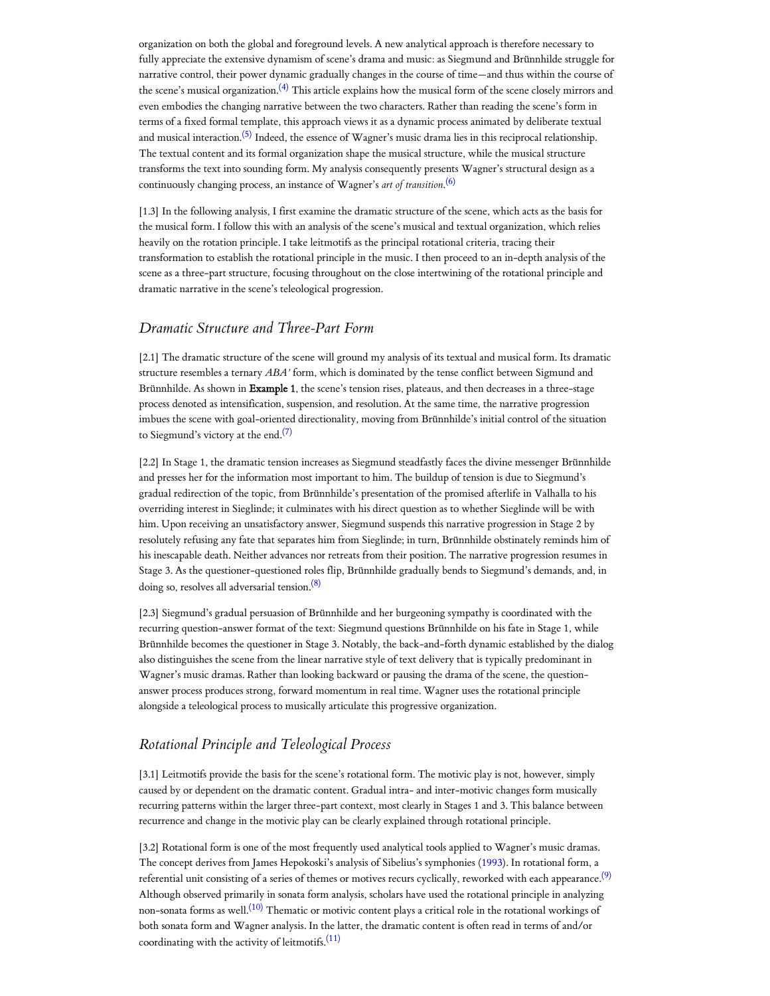<span id="page-1-0"></span>organization on both the global and foreground levels. A new analytical approach is therefore necessary to fully appreciate the extensive dynamism of scene's drama and music: as Siegmund and Brünnhilde struggle for narrative control, their power dynamic gradually changes in the course of time—and thus within the course of the scene's musical organization. $^{(4)}$  $^{(4)}$  $^{(4)}$  This article explains how the musical form of the scene closely mirrors and even embodies the changing narrative between the two characters. Rather than reading the scene's form in terms of a fixed formal template, this approach views it as a dynamic process animated by deliberate textual and musical interaction.<sup>[\(5\)](#page-10-1)</sup> Indeed, the essence of Wagner's music drama lies in this reciprocal relationship. The textual content and its formal organization shape the musical structure, while the musical structure transforms the text into sounding form. My analysis consequently presents Wagner's structural design as a continuously changing process, an instance of Wagner's *art of transition*. [\(6\)](#page-10-2)

<span id="page-1-2"></span><span id="page-1-1"></span>[1.3] In the following analysis, I first examine the dramatic structure of the scene, which acts as the basis for the musical form. I follow this with an analysis of the scene's musical and textual organization, which relies heavily on the rotation principle. I take leitmotifs as the principal rotational criteria, tracing their transformation to establish the rotational principle in the music. I then proceed to an in-depth analysis of the scene as a three-part structure, focusing throughout on the close intertwining of the rotational principle and dramatic narrative in the scene's teleological progression.

### *Dramatic Structure and Three-Part Form*

[2.1] The dramatic structure of the scene will ground my analysis of its textual and musical form. Its dramatic structure resembles a ternary *ABA'* form, which is dominated by the tense conflict between Sigmund and Brünnhilde. As shown in Example 1, the scene's tension rises, plateaus, and then decreases in a three-stage process denoted as intensification, suspension, and resolution. At the same time, the narrative progression imbues the scene with goal-oriented directionality, moving from Brünnhilde's initial control of the situation to Siegmund's victory at the end. $(7)$ 

<span id="page-1-3"></span>[2.2] In Stage 1, the dramatic tension increases as Siegmund steadfastly faces the divine messenger Brünnhilde and presses her for the information most important to him. The buildup of tension is due to Siegmund's gradual redirection of the topic, from Brünnhilde's presentation of the promised afterlife in Valhalla to his overriding interest in Sieglinde; it culminates with his direct question as to whether Sieglinde will be with him. Upon receiving an unsatisfactory answer, Siegmund suspends this narrative progression in Stage 2 by resolutely refusing any fate that separates him from Sieglinde; in turn, Brünnhilde obstinately reminds him of his inescapable death. Neither advances nor retreats from their position. The narrative progression resumes in Stage 3. As the questioner-questioned roles flip, Brünnhilde gradually bends to Siegmund's demands, and, in doing so, resolves all adversarial tension. [\(8\)](#page-10-4)

<span id="page-1-4"></span>[2.3] Siegmund's gradual persuasion of Brünnhilde and her burgeoning sympathy is coordinated with the recurring question-answer format of the text: Siegmund questions Brünnhilde on his fate in Stage 1, while Brünnhilde becomes the questioner in Stage 3. Notably, the back-and-forth dynamic established by the dialog also distinguishes the scene from the linear narrative style of text delivery that is typically predominant in Wagner's music dramas. Rather than looking backward or pausing the drama of the scene, the questionanswer process produces strong, forward momentum in real time. Wagner uses the rotational principle alongside a teleological process to musically articulate this progressive organization.

# *Rotational Principle and Teleological Process*

[3.1] Leitmotifs provide the basis for the scene's rotational form. The motivic play is not, however, simply caused by or dependent on the dramatic content. Gradual intra- and inter-motivic changes form musically recurring patterns within the larger three-part context, most clearly in Stages 1 and 3. This balance between recurrence and change in the motivic play can be clearly explained through rotational principle.

<span id="page-1-7"></span><span id="page-1-6"></span><span id="page-1-5"></span>[3.2] Rotational form is one of the most frequently used analytical tools applied to Wagner's music dramas. The concept derives from James Hepokoski's analysis of Sibelius's symphonies ([1993](#page-8-3)). In rotational form, a referential unit consisting of a series of themes or motives recurs cyclically, reworked with each appearance. $^{(9)}$  $^{(9)}$  $^{(9)}$ Although observed primarily in sonata form analysis, scholars have used the rotational principle in analyzing non-sonata forms as well.<sup>[\(10\)](#page-11-0)</sup> Thematic or motivic content plays a critical role in the rotational workings of both sonata form and Wagner analysis. In the latter, the dramatic content is often read in terms of and/or coordinating with the activity of leitmotifs. $^{(11)}$  $^{(11)}$  $^{(11)}$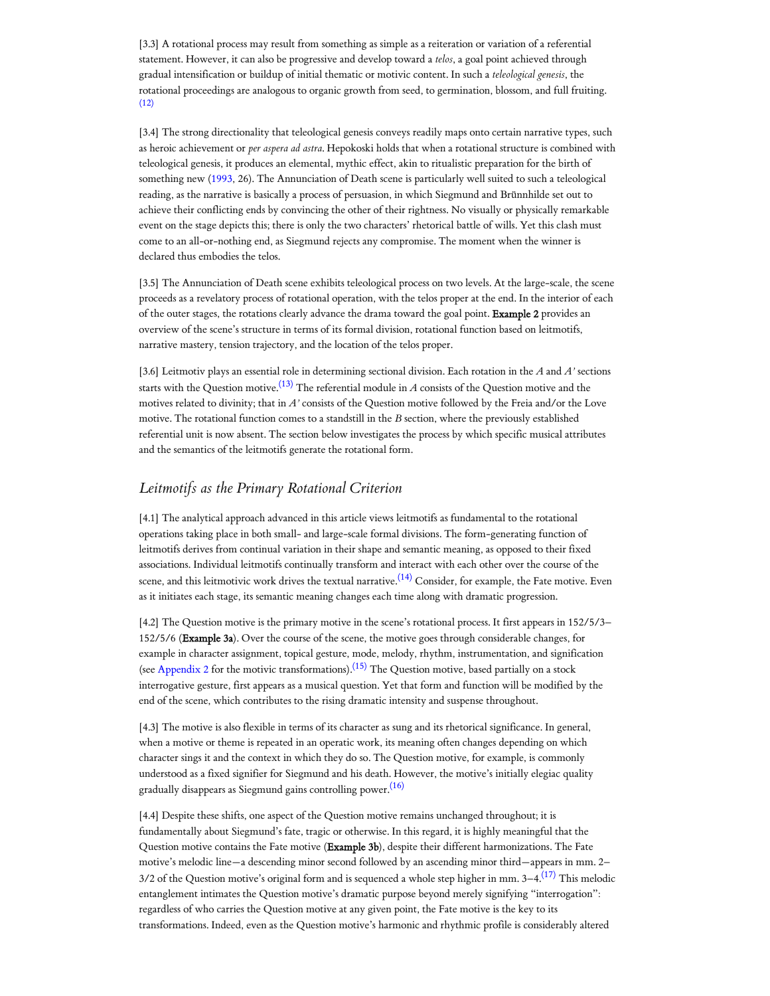[3.3] A rotational process may result from something as simple as a reiteration or variation of a referential statement. However, it can also be progressive and develop toward a *telos*, a goal point achieved through gradual intensification or buildup of initial thematic or motivic content. In such a *teleological genesis*, the rotational proceedings are analogous to organic growth from seed, to germination, blossom, and full fruiting.  $(12)$ 

<span id="page-2-0"></span>[3.4] The strong directionality that teleological genesis conveys readily maps onto certain narrative types, such as heroic achievement or *per aspera ad astra*. Hepokoski holds that when a rotational structure is combined with teleological genesis, it produces an elemental, mythic effect, akin to ritualistic preparation for the birth of something new [\(1993](#page-8-3), 26). The Annunciation of Death scene is particularly well suited to such a teleological reading, as the narrative is basically a process of persuasion, in which Siegmund and Brünnhilde set out to achieve their conflicting ends by convincing the other of their rightness. No visually or physically remarkable event on the stage depicts this; there is only the two characters' rhetorical battle of wills. Yet this clash must come to an all-or-nothing end, as Siegmund rejects any compromise. The moment when the winner is declared thus embodies the telos.

[3.5] The Annunciation of Death scene exhibits teleological process on two levels. At the large-scale, the scene proceeds as a revelatory process of rotational operation, with the telos proper at the end. In the interior of each of the outer stages, the rotations clearly advance the drama toward the goal point. Example 2 provides an overview of the scene's structure in terms of its formal division, rotational function based on leitmotifs, narrative mastery, tension trajectory, and the location of the telos proper.

<span id="page-2-1"></span>[3.6] Leitmotiv plays an essential role in determining sectional division. Each rotation in the *A* and *A'* sections starts with the Question motive.<sup>[\(13\)](#page-11-3)</sup> The referential module in *A* consists of the Question motive and the motives related to divinity; that in *A'* consists of the Question motive followed by the Freia and/or the Love motive. The rotational function comes to a standstill in the *B* section, where the previously established referential unit is now absent. The section below investigates the process by which specific musical attributes and the semantics of the leitmotifs generate the rotational form.

# *Leitmotifs as the Primary Rotational Criterion*

[4.1] The analytical approach advanced in this article views leitmotifs as fundamental to the rotational operations taking place in both small- and large-scale formal divisions. The form-generating function of leitmotifs derives from continual variation in their shape and semantic meaning, as opposed to their fixed associations. Individual leitmotifs continually transform and interact with each other over the course of the scene, and this leitmotivic work drives the textual narrative. $^{(14)}$  $^{(14)}$  $^{(14)}$  Consider, for example, the Fate motive. Even as it initiates each stage, its semantic meaning changes each time along with dramatic progression.

<span id="page-2-3"></span><span id="page-2-2"></span>[4.2] The Question motive is the primary motive in the scene's rotational process. It first appears in 152/5/3– 152/5/6 (Example 3a). Over the course of the scene, the motive goes through considerable changes, for example in character assignment, topical gesture, mode, melody, rhythm, instrumentation, and signification (see [Appendix](https://www.mtosmt.org/issues/mto.22.28.2/lee_appendix2.pdf) 2 for the motivic transformations). $^{(15)}$  $^{(15)}$  $^{(15)}$  The Question motive, based partially on a stock interrogative gesture, first appears as a musical question. Yet that form and function will be modified by the end of the scene, which contributes to the rising dramatic intensity and suspense throughout.

[4.3] The motive is also flexible in terms of its character as sung and its rhetorical significance. In general, when a motive or theme is repeated in an operatic work, its meaning often changes depending on which character sings it and the context in which they do so. The Question motive, for example, is commonly understood as a fixed signifier for Siegmund and his death. However, the motive's initially elegiac quality gradually disappears as Siegmund gains controlling power. [\(16\)](#page-12-0)

<span id="page-2-5"></span><span id="page-2-4"></span>[4.4] Despite these shifts, one aspect of the Question motive remains unchanged throughout; it is fundamentally about Siegmund's fate, tragic or otherwise. In this regard, it is highly meaningful that the Question motive contains the Fate motive (Example 3b), despite their different harmonizations. The Fate motive's melodic line—a descending minor second followed by an ascending minor third—appears in mm. 2– 3/2 of the Question motive's original form and is sequenced a whole step higher in mm. 3–4. $^{(17)}$  $^{(17)}$  $^{(17)}$  This melodic entanglement intimates the Question motive's dramatic purpose beyond merely signifying "interrogation": regardless of who carries the Question motive at any given point, the Fate motive is the key to its transformations. Indeed, even as the Question motive's harmonic and rhythmic profile is considerably altered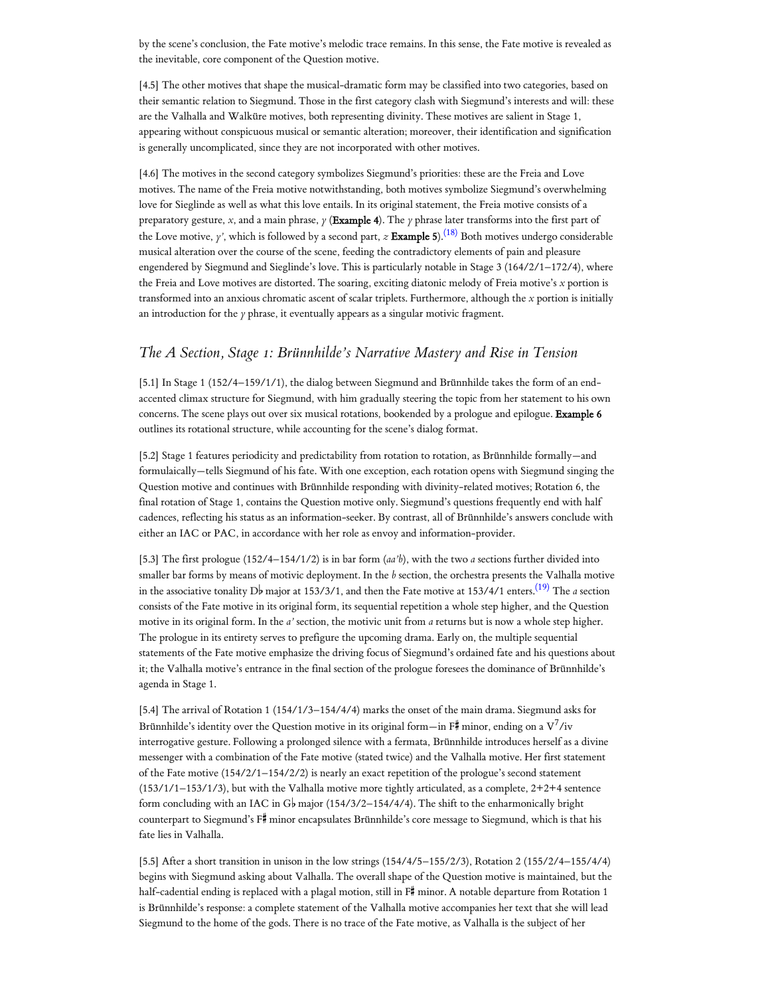by the scene's conclusion, the Fate motive's melodic trace remains. In this sense, the Fate motive is revealed as the inevitable, core component of the Question motive.

[4.5] The other motives that shape the musical-dramatic form may be classified into two categories, based on their semantic relation to Siegmund. Those in the first category clash with Siegmund's interests and will: these are the Valhalla and Walküre motives, both representing divinity. These motives are salient in Stage 1, appearing without conspicuous musical or semantic alteration; moreover, their identification and signification is generally uncomplicated, since they are not incorporated with other motives.

<span id="page-3-0"></span>[4.6] The motives in the second category symbolizes Siegmund's priorities: these are the Freia and Love motives. The name of the Freia motive notwithstanding, both motives symbolize Siegmund's overwhelming love for Sieglinde as well as what this love entails. In its original statement, the Freia motive consists of a preparatory gesture, *x*, and a main phrase, *y* (Example 4). The *y* phrase later transforms into the first part of the Love motive, *y'*, which is followed by a second part, *z* Example 5). [\(18\)](#page-12-2) Both motives undergo considerable musical alteration over the course of the scene, feeding the contradictory elements of pain and pleasure engendered by Siegmund and Sieglinde's love. This is particularly notable in Stage 3 (164/2/1–172/4), where the Freia and Love motives are distorted. The soaring, exciting diatonic melody of Freia motive's *x* portion is transformed into an anxious chromatic ascent of scalar triplets. Furthermore, although the *x* portion is initially an introduction for the *y* phrase, it eventually appears as a singular motivic fragment.

# *The A Section, Stage 1: Brünnhilde's Narrative Mastery and Rise in Tension*

[5.1] In Stage 1 (152/4–159/1/1), the dialog between Siegmund and Brünnhilde takes the form of an endaccented climax structure for Siegmund, with him gradually steering the topic from her statement to his own concerns. The scene plays out over six musical rotations, bookended by a prologue and epilogue. Example 6 outlines its rotational structure, while accounting for the scene's dialog format.

[5.2] Stage 1 features periodicity and predictability from rotation to rotation, as Brünnhilde formally—and formulaically—tells Siegmund of his fate. With one exception, each rotation opens with Siegmund singing the Question motive and continues with Brünnhilde responding with divinity-related motives; Rotation 6, the final rotation of Stage 1, contains the Question motive only. Siegmund's questions frequently end with half cadences, reflecting his status as an information-seeker. By contrast, all of Brünnhilde's answers conclude with either an IAC or PAC, in accordance with her role as envoy and information-provider.

<span id="page-3-1"></span>[5.3] The first prologue (152/4–154/1/2) is in bar form (*aa'b*), with the two *a* sections further divided into smaller bar forms by means of motivic deployment. In the *b* section, the orchestra presents the Valhalla motive in the associative tonality D♭ major at 153/3/1, and then the Fate motive at 153/4/1 enters.<sup>[\(19\)](#page-12-3)</sup> The *a* section consists of the Fate motive in its original form, its sequential repetition a whole step higher, and the Question motive in its original form. In the *a'* section, the motivic unit from *a* returns but is now a whole step higher. The prologue in its entirety serves to prefigure the upcoming drama. Early on, the multiple sequential statements of the Fate motive emphasize the driving focus of Siegmund's ordained fate and his questions about it; the Valhalla motive's entrance in the final section of the prologue foresees the dominance of Brünnhilde's agenda in Stage 1.

[5.4] The arrival of Rotation 1 (154/1/3–154/4/4) marks the onset of the main drama. Siegmund asks for Brünnhilde's identity over the Question motive in its original form—in F# minor, ending on a  $\rm V^7/iv$ interrogative gesture. Following a prolonged silence with a fermata, Brünnhilde introduces herself as a divine messenger with a combination of the Fate motive (stated twice) and the Valhalla motive. Her first statement of the Fate motive (154/2/1–154/2/2) is nearly an exact repetition of the prologue's second statement (153/1/1–153/1/3), but with the Valhalla motive more tightly articulated, as a complete, 2+2+4 sentence form concluding with an IAC in G<sub>p</sub> major (154/3/2-154/4/4). The shift to the enharmonically bright counterpart to Siegmund's F# minor encapsulates Brünnhilde's core message to Siegmund, which is that his fate lies in Valhalla.

[5.5] After a short transition in unison in the low strings (154/4/5–155/2/3), Rotation 2 (155/2/4–155/4/4) begins with Siegmund asking about Valhalla. The overall shape of the Question motive is maintained, but the half-cadential ending is replaced with a plagal motion, still in  $F^{\#}$  minor. A notable departure from Rotation 1 is Brünnhilde's response: a complete statement of the Valhalla motive accompanies her text that she will lead Siegmund to the home of the gods. There is no trace of the Fate motive, as Valhalla is the subject of her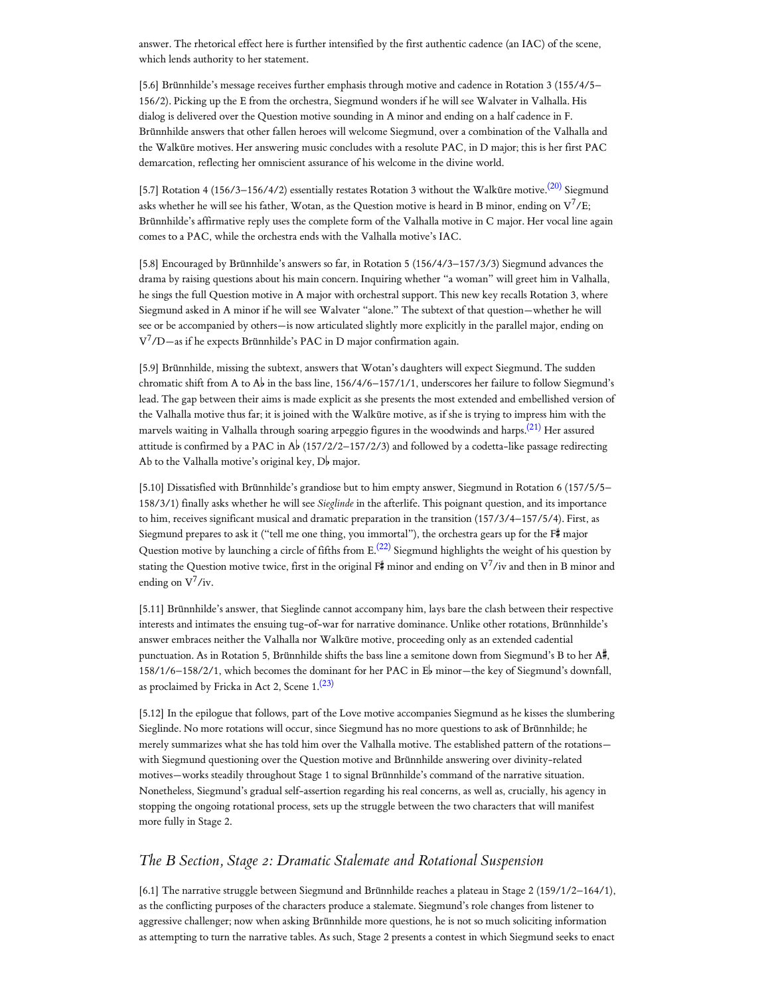answer. The rhetorical effect here is further intensified by the first authentic cadence (an IAC) of the scene, which lends authority to her statement.

[5.6] Brünnhilde's message receives further emphasis through motive and cadence in Rotation 3 (155/4/5– 156/2). Picking up the E from the orchestra, Siegmund wonders if he will see Walvater in Valhalla. His dialog is delivered over the Question motive sounding in A minor and ending on a half cadence in F. Brünnhilde answers that other fallen heroes will welcome Siegmund, over a combination of the Valhalla and the Walküre motives. Her answering music concludes with a resolute PAC, in D major; this is her first PAC demarcation, reflecting her omniscient assurance of his welcome in the divine world.

<span id="page-4-0"></span>[5.7] Rotation 4 (156/3–156/4/2) essentially restates Rotation 3 without the Walküre motive.<sup>[\(20\)](#page-12-4)</sup> Siegmund asks whether he will see his father, Wotan, as the Question motive is heard in B minor, ending on  $\rm V^7/E;$ Brünnhilde's affirmative reply uses the complete form of the Valhalla motive in C major. Her vocal line again comes to a PAC, while the orchestra ends with the Valhalla motive's IAC.

[5.8] Encouraged by Brünnhilde's answers so far, in Rotation 5 (156/4/3–157/3/3) Siegmund advances the drama by raising questions about his main concern. Inquiring whether "a woman" will greet him in Valhalla, he sings the full Question motive in A major with orchestral support. This new key recalls Rotation 3, where Siegmund asked in A minor if he will see Walvater "alone." The subtext of that question—whether he will see or be accompanied by others—is now articulated slightly more explicitly in the parallel major, ending on V <sup>7</sup>/D—as if he expects Brünnhilde's PAC in D major confirmation again.

<span id="page-4-1"></span>[5.9] Brünnhilde, missing the subtext, answers that Wotan's daughters will expect Siegmund. The sudden chromatic shift from A to A $\flat$  in the bass line, 156/4/6–157/1/1, underscores her failure to follow Siegmund's lead. The gap between their aims is made explicit as she presents the most extended and embellished version of the Valhalla motive thus far; it is joined with the Walküre motive, as if she is trying to impress him with the marvels waiting in Valhalla through soaring arpeggio figures in the woodwinds and harps. [\(21\)](#page-12-5) Her assured attitude is confirmed by a PAC in  $\mathbb{A}^{\flat}$  (157/2/2–157/2/3) and followed by a codetta-like passage redirecting Ab to the Valhalla motive's original key,  $D^{\flat}$  major.

<span id="page-4-2"></span>[5.10] Dissatisfied with Brünnhilde's grandiose but to him empty answer, Siegmund in Rotation 6 (157/5/5– 158/3/1) finally asks whether he will see *Sieglinde* in the afterlife. This poignant question, and its importance to him, receives significant musical and dramatic preparation in the transition (157/3/4–157/5/4). First, as Siegmund prepares to ask it ("tell me one thing, you immortal"), the orchestra gears up for the  $\mathbb{F}^*$  major Question motive by launching a circle of fifths from E. $^{(22)}$  $^{(22)}$  $^{(22)}$  Siegmund highlights the weight of his question by stating the Question motive twice, first in the original F# minor and ending on  $\rm V^7/$ iv and then in B minor and ending on  $V^7$ /iv.

[5.11] Brünnhilde's answer, that Sieglinde cannot accompany him, lays bare the clash between their respective interests and intimates the ensuing tug-of-war for narrative dominance. Unlike other rotations, Brünnhilde's answer embraces neither the Valhalla nor Walküre motive, proceeding only as an extended cadential punctuation. As in Rotation 5, Brünnhilde shifts the bass line a semitone down from Siegmund's B to her  $A^{\sharp}$ , 158/1/6–158/2/1, which becomes the dominant for her PAC in  $E^{\flat}$  minor—the key of Siegmund's downfall, as proclaimed by Fricka in Act 2, Scene  $1.(23)$  $1.(23)$ 

<span id="page-4-3"></span>[5.12] In the epilogue that follows, part of the Love motive accompanies Siegmund as he kisses the slumbering Sieglinde. No more rotations will occur, since Siegmund has no more questions to ask of Brünnhilde; he merely summarizes what she has told him over the Valhalla motive. The established pattern of the rotations with Siegmund questioning over the Question motive and Brünnhilde answering over divinity-related motives—works steadily throughout Stage 1 to signal Brünnhilde's command of the narrative situation. Nonetheless, Siegmund's gradual self-assertion regarding his real concerns, as well as, crucially, his agency in stopping the ongoing rotational process, sets up the struggle between the two characters that will manifest more fully in Stage 2.

# *The B Section, Stage 2: Dramatic Stalemate and Rotational Suspension*

[6.1] The narrative struggle between Siegmund and Brünnhilde reaches a plateau in Stage 2 (159/1/2–164/1), as the conflicting purposes of the characters produce a stalemate. Siegmund's role changes from listener to aggressive challenger; now when asking Brünnhilde more questions, he is not so much soliciting information as attempting to turn the narrative tables. As such, Stage 2 presents a contest in which Siegmund seeks to enact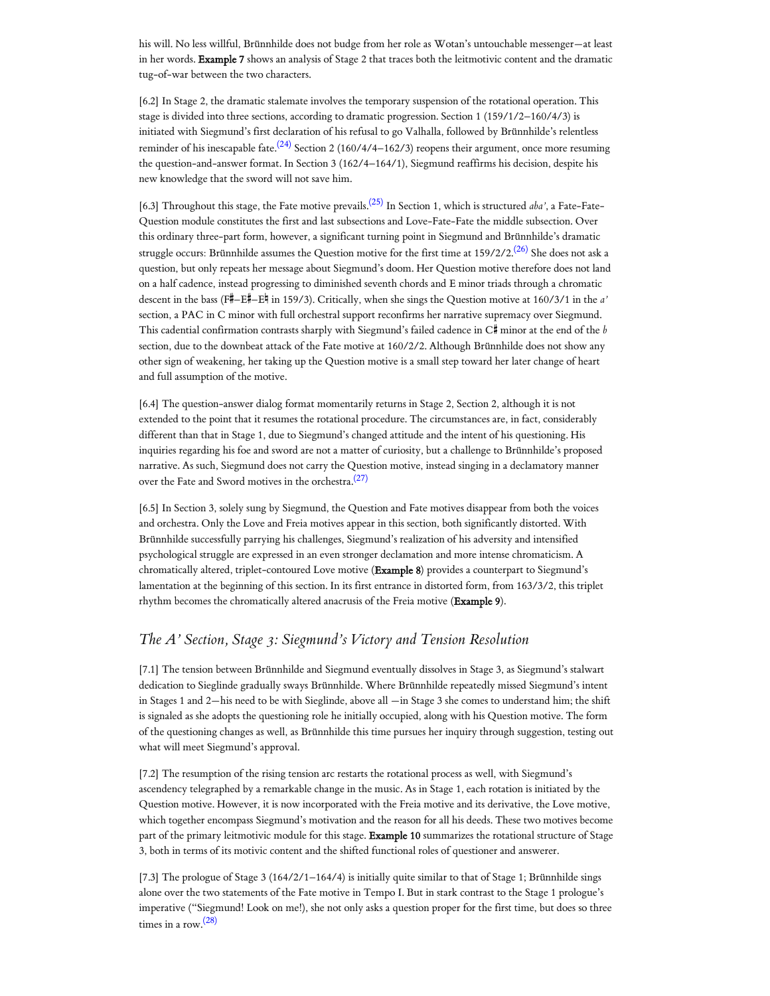his will. No less willful, Brünnhilde does not budge from her role as Wotan's untouchable messenger—at least in her words. Example 7 shows an analysis of Stage 2 that traces both the leitmotivic content and the dramatic tug-of-war between the two characters.

<span id="page-5-0"></span>[6.2] In Stage 2, the dramatic stalemate involves the temporary suspension of the rotational operation. This stage is divided into three sections, according to dramatic progression. Section 1 (159/1/2–160/4/3) is initiated with Siegmund's first declaration of his refusal to go Valhalla, followed by Brünnhilde's relentless reminder of his inescapable fate. $^{(24)}$  $^{(24)}$  $^{(24)}$  Section 2 (160/4/4–162/3) reopens their argument, once more resuming the question-and-answer format. In Section 3 (162/4–164/1), Siegmund reaffirms his decision, despite his new knowledge that the sword will not save him.

<span id="page-5-2"></span><span id="page-5-1"></span>[6.3] Throughout this stage, the Fate motive prevails. [\(25\)](#page-12-9) In Section 1, which is structured *aba'*, a Fate-Fate-Question module constitutes the first and last subsections and Love-Fate-Fate the middle subsection. Over this ordinary three-part form, however, a significant turning point in Siegmund and Brünnhilde's dramatic struggle occurs: Brünnhilde assumes the Question motive for the first time at 159/2/2. $^{(26)}$  $^{(26)}$  $^{(26)}$  She does not ask a question, but only repeats her message about Siegmund's doom. Her Question motive therefore does not land on a half cadence, instead progressing to diminished seventh chords and E minor triads through a chromatic descent in the bass (F#-E# =E<sup>#</sup> in 159/3). Critically, when she sings the Question motive at 160/3/1 in the *a'* section, a PAC in C minor with full orchestral support reconfirms her narrative supremacy over Siegmund. This cadential confirmation contrasts sharply with Siegmund's failed cadence in C# minor at the end of the *b* section, due to the downbeat attack of the Fate motive at 160/2/2. Although Brünnhilde does not show any other sign of weakening, her taking up the Question motive is a small step toward her later change of heart and full assumption of the motive.

[6.4] The question-answer dialog format momentarily returns in Stage 2, Section 2, although it is not extended to the point that it resumes the rotational procedure. The circumstances are, in fact, considerably different than that in Stage 1, due to Siegmund's changed attitude and the intent of his questioning. His inquiries regarding his foe and sword are not a matter of curiosity, but a challenge to Brünnhilde's proposed narrative. As such, Siegmund does not carry the Question motive, instead singing in a declamatory manner over the Fate and Sword motives in the orchestra. [\(27\)](#page-13-0)

<span id="page-5-3"></span>[6.5] In Section 3, solely sung by Siegmund, the Question and Fate motives disappear from both the voices and orchestra. Only the Love and Freia motives appear in this section, both significantly distorted. With Brünnhilde successfully parrying his challenges, Siegmund's realization of his adversity and intensified psychological struggle are expressed in an even stronger declamation and more intense chromaticism. A chromatically altered, triplet-contoured Love motive (Example 8) provides a counterpart to Siegmund's lamentation at the beginning of this section. In its first entrance in distorted form, from 163/3/2, this triplet rhythm becomes the chromatically altered anacrusis of the Freia motive (Example 9).

### *The A' Section, Stage 3: Siegmund's Victory and Tension Resolution*

[7.1] The tension between Brünnhilde and Siegmund eventually dissolves in Stage 3, as Siegmund's stalwart dedication to Sieglinde gradually sways Brünnhilde. Where Brünnhilde repeatedly missed Siegmund's intent in Stages 1 and 2—his need to be with Sieglinde, above all —in Stage 3 she comes to understand him; the shift is signaled as she adopts the questioning role he initially occupied, along with his Question motive. The form of the questioning changes as well, as Brünnhilde this time pursues her inquiry through suggestion, testing out what will meet Siegmund's approval.

[7.2] The resumption of the rising tension arc restarts the rotational process as well, with Siegmund's ascendency telegraphed by a remarkable change in the music. As in Stage 1, each rotation is initiated by the Question motive. However, it is now incorporated with the Freia motive and its derivative, the Love motive, which together encompass Siegmund's motivation and the reason for all his deeds. These two motives become part of the primary leitmotivic module for this stage. Example 10 summarizes the rotational structure of Stage 3, both in terms of its motivic content and the shifted functional roles of questioner and answerer.

<span id="page-5-4"></span>[7.3] The prologue of Stage 3 (164/2/1–164/4) is initially quite similar to that of Stage 1; Brünnhilde sings alone over the two statements of the Fate motive in Tempo I. But in stark contrast to the Stage 1 prologue's imperative ("Siegmund! Look on me!), she not only asks a question proper for the first time, but does so three times in a row. [\(28\)](#page-13-1)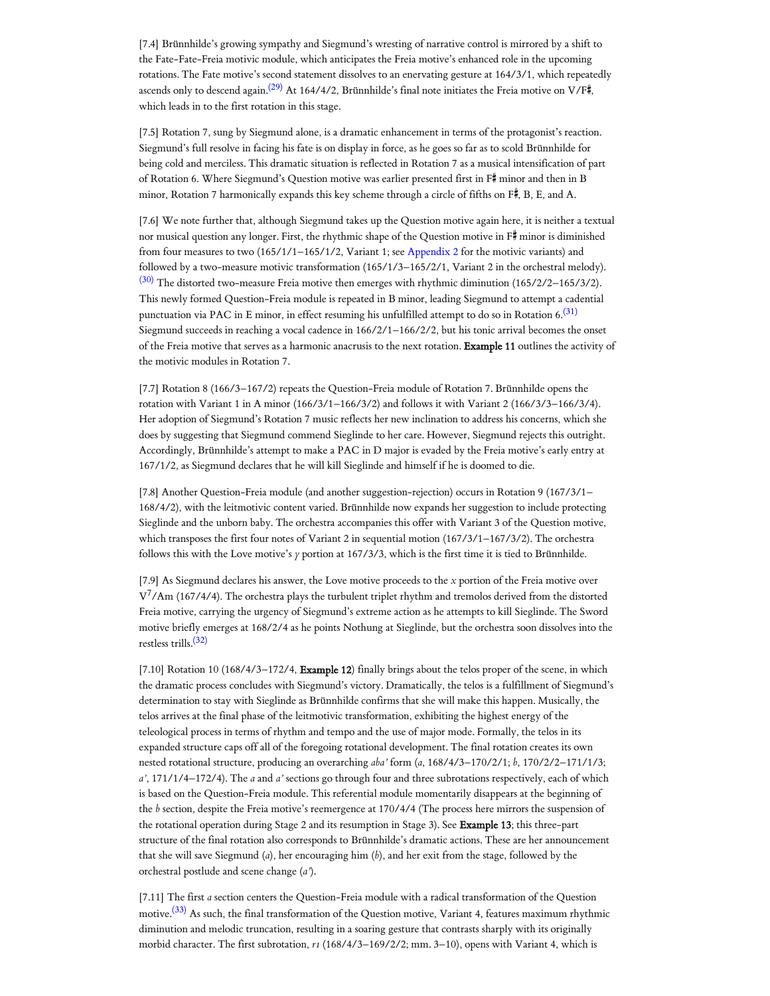<span id="page-6-0"></span>[7.4] Brünnhilde's growing sympathy and Siegmund's wresting of narrative control is mirrored by a shift to the Fate-Fate-Freia motivic module, which anticipates the Freia motive's enhanced role in the upcoming rotations. The Fate motive's second statement dissolves to an enervating gesture at 164/3/1, which repeatedly ascends only to descend again. $^{(29)}$  $^{(29)}$  $^{(29)}$  At 164/4/2, Brünnhilde's final note initiates the Freia motive on V/F#, which leads in to the first rotation in this stage.

[7.5] Rotation 7, sung by Siegmund alone, is a dramatic enhancement in terms of the protagonist's reaction. Siegmund's full resolve in facing his fate is on display in force, as he goes so far as to scold Brünnhilde for being cold and merciless. This dramatic situation is reflected in Rotation 7 as a musical intensification of part of Rotation 6. Where Siegmund's Question motive was earlier presented first in F minor and then in B minor, Rotation 7 harmonically expands this key scheme through a circle of fifths on  $F#$ , B, E, and A.

<span id="page-6-1"></span>[7.6] We note further that, although Siegmund takes up the Question motive again here, it is neither a textual nor musical question any longer. First, the rhythmic shape of the Question motive in F# minor is diminished from four measures to two (165/1/1–165/1/2, Variant 1; see [Appendix](https://www.mtosmt.org/issues/mto.22.28.2/lee_appendix2.pdf) 2 for the motivic variants) and followed by a two-measure motivic transformation (165/1/3–165/2/1, Variant 2 in the orchestral melody).  $(30)$  The distorted two-measure Freia motive then emerges with rhythmic diminution (165/2/2–165/3/2). This newly formed Question-Freia module is repeated in B minor, leading Siegmund to attempt a cadential punctuation via PAC in E minor, in effect resuming his unfulfilled attempt to do so in Rotation 6. $^{(31)}$  $^{(31)}$  $^{(31)}$ Siegmund succeeds in reaching a vocal cadence in 166/2/1–166/2/2, but his tonic arrival becomes the onset of the Freia motive that serves as a harmonic anacrusis to the next rotation. Example 11 outlines the activity of the motivic modules in Rotation 7.

<span id="page-6-2"></span>[7.7] Rotation 8 (166/3–167/2) repeats the Question-Freia module of Rotation 7. Brünnhilde opens the rotation with Variant 1 in A minor (166/3/1–166/3/2) and follows it with Variant 2 (166/3/3–166/3/4). Her adoption of Siegmund's Rotation 7 music reflects her new inclination to address his concerns, which she does by suggesting that Siegmund commend Sieglinde to her care. However, Siegmund rejects this outright. Accordingly, Brünnhilde's attempt to make a PAC in D major is evaded by the Freia motive's early entry at 167/1/2, as Siegmund declares that he will kill Sieglinde and himself if he is doomed to die.

[7.8] Another Question-Freia module (and another suggestion-rejection) occurs in Rotation 9 (167/3/1– 168/4/2), with the leitmotivic content varied. Brünnhilde now expands her suggestion to include protecting Sieglinde and the unborn baby. The orchestra accompanies this offer with Variant 3 of the Question motive, which transposes the first four notes of Variant 2 in sequential motion (167/3/1–167/3/2). The orchestra follows this with the Love motive's *y* portion at 167/3/3, which is the first time it is tied to Brünnhilde.

[7.9] As Siegmund declares his answer, the Love motive proceeds to the *x* portion of the Freia motive over  $\rm V^7/Am$  (167/4/4). The orchestra plays the turbulent triplet rhythm and tremolos derived from the distorted Freia motive, carrying the urgency of Siegmund's extreme action as he attempts to kill Sieglinde. The Sword motive briefly emerges at 168/2/4 as he points Nothung at Sieglinde, but the orchestra soon dissolves into the restless trills. [\(32\)](#page-13-5)

<span id="page-6-3"></span>[7.10] Rotation 10 (168/4/3-172/4, Example 12) finally brings about the telos proper of the scene, in which the dramatic process concludes with Siegmund's victory. Dramatically, the telos is a fulfillment of Siegmund's determination to stay with Sieglinde as Brünnhilde confirms that she will make this happen. Musically, the telos arrives at the final phase of the leitmotivic transformation, exhibiting the highest energy of the teleological process in terms of rhythm and tempo and the use of major mode. Formally, the telos in its expanded structure caps off all of the foregoing rotational development. The final rotation creates its own nested rotational structure, producing an overarching *aba'* form (*a*, 168/4/3–170/2/1; *b*, 170/2/2–171/1/3; *a'*, 171/1/4–172/4). The *a* and *a'* sections go through four and three subrotations respectively, each of which is based on the Question-Freia module. This referential module momentarily disappears at the beginning of the *b* section, despite the Freia motive's reemergence at 170/4/4 (The process here mirrors the suspension of the rotational operation during Stage 2 and its resumption in Stage 3). See Example 13; this three-part structure of the final rotation also corresponds to Brünnhilde's dramatic actions. These are her announcement that she will save Siegmund (*a*), her encouraging him (*b*), and her exit from the stage, followed by the orchestral postlude and scene change (*a'*).

<span id="page-6-4"></span>[7.11] The first *a* section centers the Question-Freia module with a radical transformation of the Question motive.<sup>[\(33\)](#page-13-6)</sup> As such, the final transformation of the Question motive, Variant 4, features maximum rhythmic diminution and melodic truncation, resulting in a soaring gesture that contrasts sharply with its originally morbid character. The first subrotation, *r1* (168/4/3–169/2/2; mm. 3–10), opens with Variant 4, which is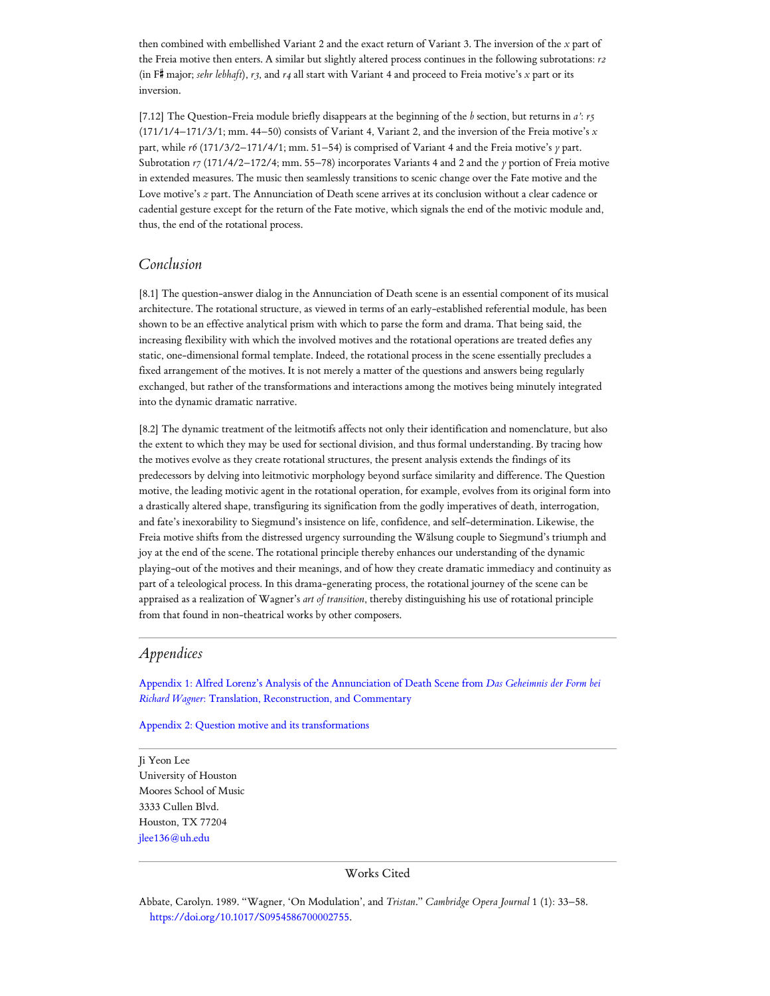then combined with embellished Variant 2 and the exact return of Variant 3. The inversion of the *x* part of the Freia motive then enters. A similar but slightly altered process continues in the following subrotations: *r2* (in F# major; *sehr lebhaft*),  $r3$ , and  $r4$  all start with Variant 4 and proceed to Freia motive's *x* part or its inversion.

[7.12] The Question-Freia module briefly disappears at the beginning of the *b* section, but returns in *a'*: *r5* (171/1/4–171/3/1; mm. 44–50) consists of Variant 4, Variant 2, and the inversion of the Freia motive's *x* part, while *r6* (171/3/2–171/4/1; mm. 51–54) is comprised of Variant 4 and the Freia motive's *y* part. Subrotation  $r7(171/4/2-172/4; \text{mm. } 55-78)$  incorporates Variants 4 and 2 and the *y* portion of Freia motive in extended measures. The music then seamlessly transitions to scenic change over the Fate motive and the Love motive's *z* part. The Annunciation of Death scene arrives at its conclusion without a clear cadence or cadential gesture except for the return of the Fate motive, which signals the end of the motivic module and, thus, the end of the rotational process.

## *Conclusion*

[8.1] The question-answer dialog in the Annunciation of Death scene is an essential component of its musical architecture. The rotational structure, as viewed in terms of an early-established referential module, has been shown to be an effective analytical prism with which to parse the form and drama. That being said, the increasing flexibility with which the involved motives and the rotational operations are treated defies any static, one-dimensional formal template. Indeed, the rotational process in the scene essentially precludes a fixed arrangement of the motives. It is not merely a matter of the questions and answers being regularly exchanged, but rather of the transformations and interactions among the motives being minutely integrated into the dynamic dramatic narrative.

[8.2] The dynamic treatment of the leitmotifs affects not only their identification and nomenclature, but also the extent to which they may be used for sectional division, and thus formal understanding. By tracing how the motives evolve as they create rotational structures, the present analysis extends the findings of its predecessors by delving into leitmotivic morphology beyond surface similarity and difference. The Question motive, the leading motivic agent in the rotational operation, for example, evolves from its original form into a drastically altered shape, transfiguring its signification from the godly imperatives of death, interrogation, and fate's inexorability to Siegmund's insistence on life, confidence, and self-determination. Likewise, the Freia motive shifts from the distressed urgency surrounding the Wälsung couple to Siegmund's triumph and joy at the end of the scene. The rotational principle thereby enhances our understanding of the dynamic playing-out of the motives and their meanings, and of how they create dramatic immediacy and continuity as part of a teleological process. In this drama-generating process, the rotational journey of the scene can be appraised as a realization of Wagner's *art of transition*, thereby distinguishing his use of rotational principle from that found in non-theatrical works by other composers.

## *Appendices*

Appendix 1: Alfred Lorenz's Analysis of the Annunciation of Death Scene from *[Das Geheimnis der Form bei](https://www.mtosmt.org/issues/mto.22.28.2/lee_appendix1.pdf) Richard Wagner*: Translation, Reconstruction, and Commentary

Appendix 2: Question motive and its [transformations](https://www.mtosmt.org/issues/mto.22.28.2/lee_appendix2.pdf)

<span id="page-7-0"></span>Ji Yeon Lee University of Houston Moores School of Music 3333 Cullen Blvd. Houston, TX 77204 [jlee136@uh.edu](mailto:jlee136@uh.edu)

#### Works Cited

<span id="page-7-1"></span>Abbate, Carolyn. 1989. "Wagner, 'On Modulation', and *Tristan*." *Cambridge Opera Journal* 1 (1): 33–58. <https://doi.org/10.1017/S0954586700002755>.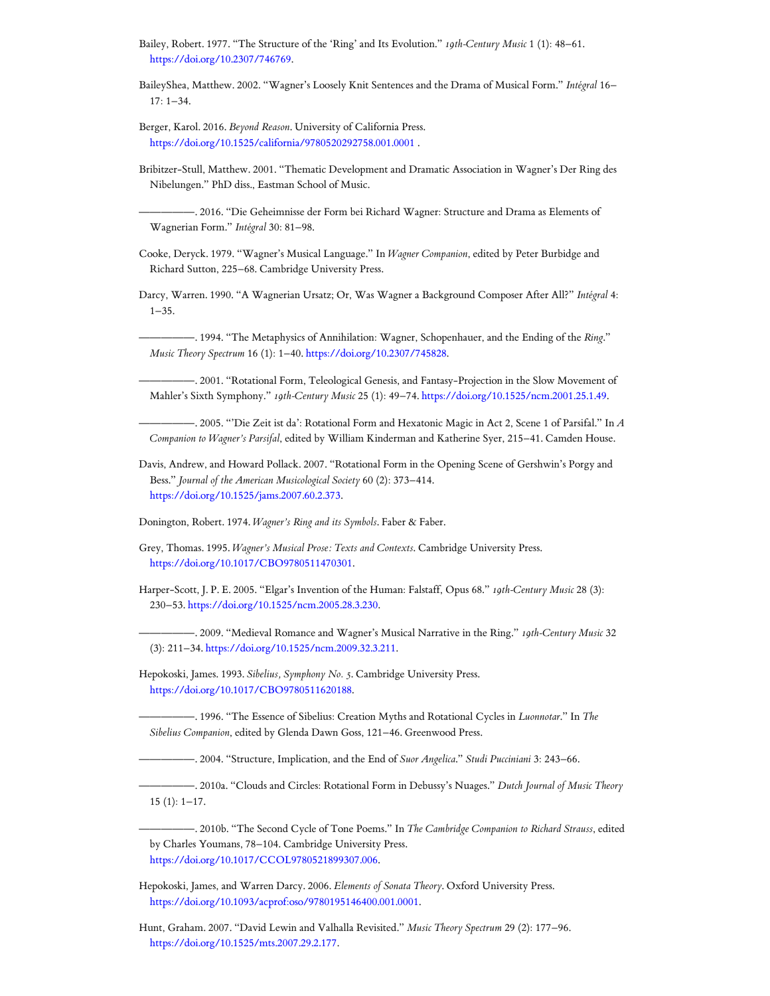<span id="page-8-4"></span>Bailey, Robert. 1977. "The Structure of the 'Ring' and Its Evolution." *19th-Century Music* 1 (1): 48–61. [https://doi.org/10.2307/746769.](https://doi.org/10.2307/746769)

BaileyShea, Matthew. 2002. "Wagner's Loosely Knit Sentences and the Drama of Musical Form." *Intégral* 16–  $17 \cdot 1 - 34$ 

<span id="page-8-2"></span>Berger, Karol. 2016. *Beyond Reason*. University of California Press. <https://doi.org/10.1525/california/9780520292758.001.0001> .

<span id="page-8-19"></span>Bribitzer-Stull, Matthew. 2001. "Thematic Development and Dramatic Association in Wagner's Der Ring des Nibelungen." PhD diss., Eastman School of Music.

<span id="page-8-1"></span>—————. 2016. "Die Geheimnisse der Form bei Richard Wagner: Structure and Drama as Elements of Wagnerian Form." *Intégral* 30: 81–98.

<span id="page-8-18"></span>Cooke, Deryck. 1979. "Wagner's Musical Language." In *Wagner Companion*, edited by Peter Burbidge and Richard Sutton, 225–68. Cambridge University Press.

<span id="page-8-14"></span>Darcy, Warren. 1990. "A Wagnerian Ursatz; Or, Was Wagner a Background Composer After All?" *Intégral* 4:  $1 - 35$ .

—————. 1994. "The Metaphysics of Annihilation: Wagner, Schopenhauer, and the Ending of the *Ring*." *Music Theory Spectrum* 16 (1): 1–40. [https://doi.org/10.2307/745828.](https://doi.org/10.2307/745828)

<span id="page-8-10"></span>—————. 2001. "Rotational Form, Teleological Genesis, and Fantasy-Projection in the Slow Movement of Mahler's Sixth Symphony." *19th-Century Music* 25 (1): 49–74. <https://doi.org/10.1525/ncm.2001.25.1.49>.

<span id="page-8-15"></span>—————. 2005. "'Die Zeit ist da': Rotational Form and Hexatonic Magic in Act 2, Scene 1 of Parsifal." In *A Companion to Wagner's Parsifal*, edited by William Kinderman and Katherine Syer, 215–41. Camden House.

<span id="page-8-13"></span>Davis, Andrew, and Howard Pollack. 2007. "Rotational Form in the Opening Scene of Gershwin's Porgy and Bess." *Journal of the American Musicological Society* 60 (2): 373–414. <https://doi.org/10.1525/jams.2007.60.2.373>.

<span id="page-8-17"></span>Donington, Robert. 1974. *Wagner's Ring and its Symbols*. Faber & Faber.

<span id="page-8-0"></span>Grey, Thomas. 1995. *Wagner's Musical Prose: Texts and Contexts*. Cambridge University Press. [https://doi.org/10.1017/CBO9780511470301.](https://doi.org/10.1017/CBO9780511470301)

<span id="page-8-11"></span>Harper-Scott, J. P. E. 2005. "Elgar's Invention of the Human: Falstaff, Opus 68." *19th-Century Music* 28 (3): 230–53. [https://doi.org/10.1525/ncm.2005.28.3.230.](https://doi.org/10.1525/ncm.2005.28.3.230)

<span id="page-8-5"></span>—————. 2009. "Medieval Romance and Wagner's Musical Narrative in the Ring." *19th-Century Music* 32 (3): 211–34. <https://doi.org/10.1525/ncm.2009.32.3.211>.

<span id="page-8-3"></span>Hepokoski, James. 1993. *Sibelius, Symphony No. 5*. Cambridge University Press. <https://doi.org/10.1017/CBO9780511620188>.

<span id="page-8-6"></span>—————. 1996. "The Essence of Sibelius: Creation Myths and Rotational Cycles in *Luonnotar*." In *The Sibelius Companion*, edited by Glenda Dawn Goss, 121–46. Greenwood Press.

<span id="page-8-7"></span>—————. 2004. "Structure, Implication, and the End of *Suor Angelica*." *Studi Pucciniani* 3: 243–66.

<span id="page-8-8"></span>—————. 2010a. "Clouds and Circles: Rotational Form in Debussy's Nuages." *Dutch Journal of Music Theory* 15 (1): 1–17.

<span id="page-8-9"></span>—————. 2010b. "The Second Cycle of Tone Poems." In *The Cambridge Companion to Richard Strauss*, edited by Charles Youmans, 78–104. Cambridge University Press. [https://doi.org/10.1017/CCOL9780521899307.006.](https://doi.org/10.1017/CCOL9780521899307.006)

<span id="page-8-12"></span>Hepokoski, James, and Warren Darcy. 2006. *Elements of Sonata Theory*. Oxford University Press. [https://doi.org/10.1093/acprof:oso/9780195146400.001.0001.](https://doi.org/10.1093/acprof:oso/9780195146400.001.0001)

<span id="page-8-16"></span>Hunt, Graham. 2007. "David Lewin and Valhalla Revisited." *Music Theory Spectrum* 29 (2): 177–96. <https://doi.org/10.1525/mts.2007.29.2.177>.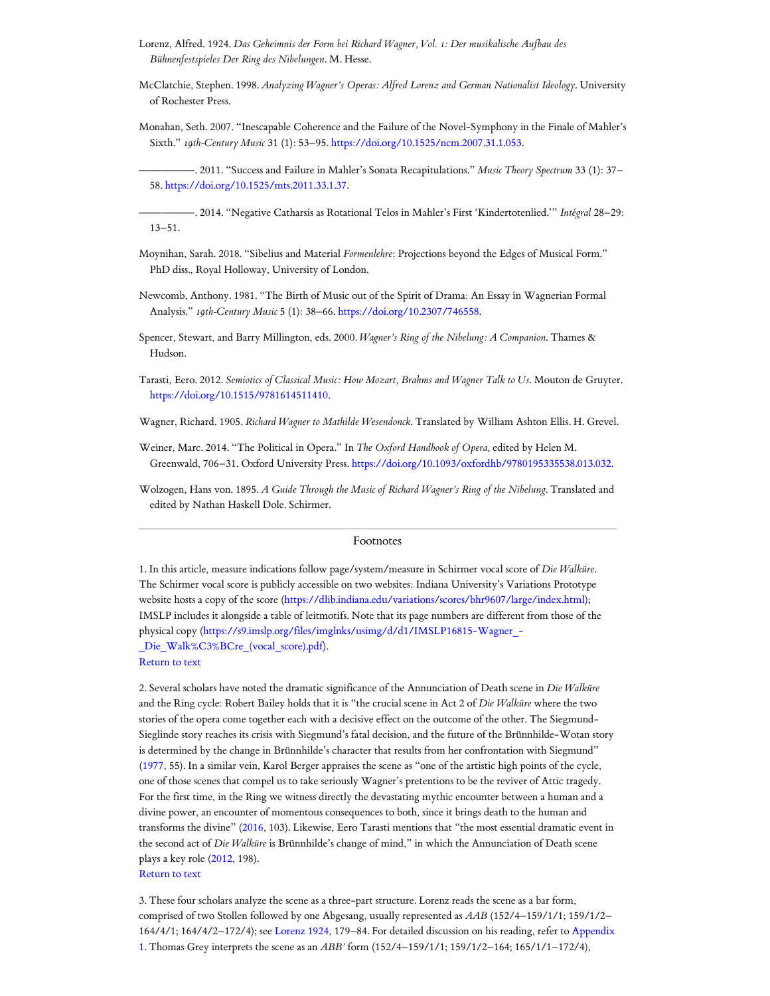- <span id="page-9-2"></span>Lorenz, Alfred. 1924. *Das Geheimnis der Form bei Richard Wagner, Vol. 1: Der musikalische Aufbau des Bühnenfestspieles Der Ring des Nibelungen*. M. Hesse.
- <span id="page-9-6"></span>McClatchie, Stephen. 1998. *Analyzing Wagner's Operas: Alfred Lorenz and German Nationalist Ideology*. University of Rochester Press.
- <span id="page-9-9"></span>Monahan, Seth. 2007. "Inescapable Coherence and the Failure of the Novel-Symphony in the Finale of Mahler's Sixth." *19th-Century Music* 31 (1): 53–95. <https://doi.org/10.1525/ncm.2007.31.1.053>.

<span id="page-9-11"></span>—————. 2014. "Negative Catharsis as Rotational Telos in Mahler's First 'Kindertotenlied.'" *Intégral* 28–29: 13–51.

- <span id="page-9-8"></span>Moynihan, Sarah. 2018. "Sibelius and Material *Formenlehre*: Projections beyond the Edges of Musical Form." PhD diss., Royal Holloway, University of London.
- <span id="page-9-13"></span>Newcomb, Anthony. 1981. "The Birth of Music out of the Spirit of Drama: An Essay in Wagnerian Formal Analysis." *19th-Century Music* 5 (1): 38–66. [https://doi.org/10.2307/746558.](https://doi.org/10.2307/746558)
- <span id="page-9-14"></span>Spencer, Stewart, and Barry Millington, eds. 2000. *Wagner's Ring of the Nibelung: A Companion*. Thames & Hudson.
- <span id="page-9-4"></span>Tarasti, Eero. 2012. *Semiotics of Classical Music: How Mozart, Brahms and Wagner Talk to Us*. Mouton de Gruyter. <https://doi.org/10.1515/9781614511410>.
- <span id="page-9-5"></span>Wagner, Richard. 1905. *Richard Wagner to Mathilde Wesendonck*. Translated by William Ashton Ellis. H. Grevel.
- <span id="page-9-7"></span>Weiner, Marc. 2014. "The Political in Opera." In *The Oxford Handbook of Opera*, edited by Helen M. Greenwald, 706–31. Oxford University Press. [https://doi.org/10.1093/oxfordhb/9780195335538.013.032.](https://doi.org/10.1093/oxfordhb/9780195335538.013.032)
- <span id="page-9-12"></span>Wolzogen, Hans von. 1895. *A Guide Through the Music of Richard Wagner's Ring of the Nibelung*. Translated and edited by Nathan Haskell Dole. Schirmer.

#### Footnotes

<span id="page-9-0"></span>1. In this article, measure indications follow page/system/measure in Schirmer vocal score of *Die Walküre*. The Schirmer vocal score is publicly accessible on two websites: Indiana University's Variations Prototype website hosts a copy of the score [\(https://dlib.indiana.edu/variations/scores/bhr9607/large/index.html\)](https://dlib.indiana.edu/variations/scores/bhr9607/large/index.html); IMSLP includes it alongside a table of leitmotifs. Note that its page numbers are different from those of the physical copy [\(https://s9.imslp.org/files/imglnks/usimg/d/d1/IMSLP16815-Wagner\\_-](https://s9.imslp.org/files/imglnks/usimg/d/d1/IMSLP16815-Wagner_-_Die_Walk%C3%BCre_(vocal_score).pdf) Die Walk%C3%BCre (vocal score).pdf). [Return](#page-0-0) to text

<span id="page-9-1"></span>2. Several scholars have noted the dramatic significance of the Annunciation of Death scene in *Die Walküre* and the Ring cycle: Robert Bailey holds that it is "the crucial scene in Act 2 of *Die Walküre* where the two stories of the opera come together each with a decisive effect on the outcome of the other. The Siegmund-Sieglinde story reaches its crisis with Siegmund's fatal decision, and the future of the Brünnhilde-Wotan story is determined by the change in Brünnhilde's character that results from her confrontation with Siegmund" [\(1977,](#page-8-4) 55). In a similar vein, Karol Berger appraises the scene as "one of the artistic high points of the cycle, one of those scenes that compel us to take seriously Wagner's pretentions to be the reviver of Attic tragedy. For the first time, in the Ring we witness directly the devastating mythic encounter between a human and a divine power, an encounter of momentous consequences to both, since it brings death to the human and transforms the divine" ([2016,](#page-8-2) 103). Likewise, Eero Tarasti mentions that "the most essential dramatic event in the second act of *Die Walküre* is Brünnhilde's change of mind," in which the Annunciation of Death scene plays a key role [\(2012](#page-9-4), 198). [Return](#page-0-1) to text

<span id="page-9-3"></span>3. These four scholars analyze the scene as a three-part structure. Lorenz reads the scene as a bar form, comprised of two Stollen followed by one Abgesang, usually represented as *AAB* (152/4–159/1/1; 159/1/2– 164/4/1; 164/4/2–172/4); see [Lorenz](#page-9-2) 1924, 179–84. For [detailed discussion](https://www.mtosmt.org/issues/mto.22.28.2/lee_appendix1.pdf) on his reading, refer to Appendix 1. Thomas Grey interprets the scene as an *ABB'* form (152/4–159/1/1; 159/1/2–164; 165/1/1–172/4),

<span id="page-9-10"></span><sup>—————</sup>. 2011. "Success and Failure in Mahler's Sonata Recapitulations." *Music Theory Spectrum* 33 (1): 37– 58. <https://doi.org/10.1525/mts.2011.33.1.37>.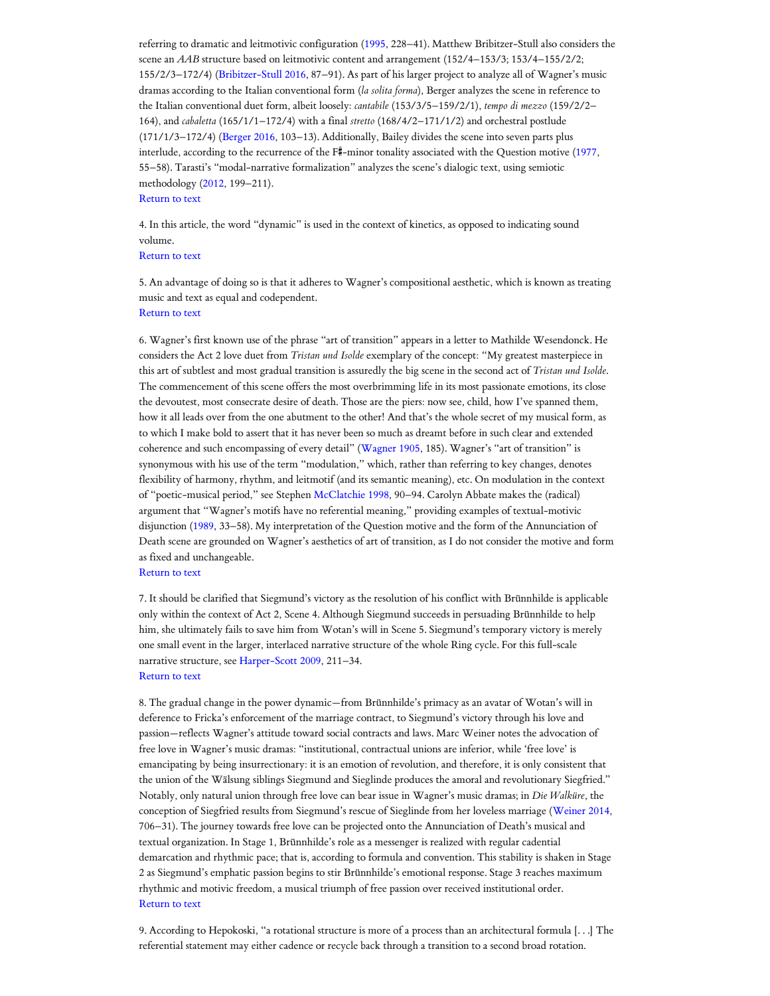referring to dramatic and leitmotivic configuration [\(1995](#page-8-0), 228–41). Matthew Bribitzer-Stull also considers the scene an *AAB* structure based on leitmotivic content and arrangement (152/4–153/3; 153/4–155/2/2; 155/2/3–172/4) [\(Bribitzer-Stull](#page-8-1) 2016, 87–91). As part of his larger project to analyze all of Wagner's music dramas according to the Italian conventional form (*la solita forma*), Berger analyzes the scene in reference to the Italian conventional duet form, albeit loosely: *cantabile* (153/3/5–159/2/1), *tempo di mezzo* (159/2/2– 164), and *cabaletta* (165/1/1–172/4) with a final *stretto* (168/4/2–171/1/2) and orchestral postlude (171/1/3–172/4) ([Berger](#page-8-2) 2016, 103–13). Additionally, Bailey divides the scene into seven parts plus interlude, according to the recurrence of the  $F^{\sharp}$ -minor tonality associated with the Question motive ([1977,](#page-8-4) 55–58). Tarasti's "modal-narrative formalization" analyzes the scene's dialogic text, using semiotic methodology [\(2012,](#page-9-4) 199–211).

#### [Return](#page-0-2) to text

<span id="page-10-0"></span>4. In this article, the word "dynamic" is used in the context of kinetics, as opposed to indicating sound volume.

#### [Return](#page-1-0) to text

<span id="page-10-1"></span>5. An advantage of doing so is that it adheres to Wagner's compositional aesthetic, which is known as treating music and text as equal and codependent. [Return](#page-1-1) to text

<span id="page-10-2"></span>6. Wagner's first known use of the phrase "art of transition" appears in a letter to Mathilde Wesendonck. He considers the Act 2 love duet from *Tristan und Isolde* exemplary of the concept: "My greatest masterpiece in this art of subtlest and most gradual transition is assuredly the big scene in the second act of *Tristan und Isolde*. The commencement of this scene offers the most overbrimming life in its most passionate emotions, its close the devoutest, most consecrate desire of death. Those are the piers: now see, child, how I've spanned them, how it all leads over from the one abutment to the other! And that's the whole secret of my musical form, as to which I make bold to assert that it has never been so much as dreamt before in such clear and extended coherence and such encompassing of every detail" [\(Wagner](#page-9-5) 1905, 185). Wagner's "art of transition" is synonymous with his use of the term "modulation," which, rather than referring to key changes, denotes flexibility of harmony, rhythm, and leitmotif (and its semantic meaning), etc. On modulation in the context of "poetic-musical period," see Stephen [McClatchie](#page-9-6) 1998, 90–94. Carolyn Abbate makes the (radical) argument that "Wagner's motifs have no referential meaning," providing examples of textual-motivic disjunction ([1989](#page-7-1), 33–58). My interpretation of the Question motive and the form of the Annunciation of Death scene are grounded on Wagner's aesthetics of art of transition, as I do not consider the motive and form as fixed and unchangeable.

#### [Return](#page-1-2) to text

<span id="page-10-3"></span>7. It should be clarified that Siegmund's victory as the resolution of his conflict with Brünnhilde is applicable only within the context of Act 2, Scene 4. Although Siegmund succeeds in persuading Brünnhilde to help him, she ultimately fails to save him from Wotan's will in Scene 5. Siegmund's temporary victory is merely one small event in the larger, interlaced narrative structure of the whole Ring cycle. For this full-scale narrative structure, see [Harper-Scott](#page-8-5) 2009, 211–34. [Return](#page-1-3) to text

<span id="page-10-4"></span>8. The gradual change in the power dynamic—from Brünnhilde's primacy as an avatar of Wotan's will in deference to Fricka's enforcement of the marriage contract, to Siegmund's victory through his love and passion—reflects Wagner's attitude toward social contracts and laws. Marc Weiner notes the advocation of free love in Wagner's music dramas: "institutional, contractual unions are inferior, while 'free love' is emancipating by being insurrectionary: it is an emotion of revolution, and therefore, it is only consistent that the union of the Wälsung siblings Siegmund and Sieglinde produces the amoral and revolutionary Siegfried." Notably, only natural union through free love can bear issue in Wagner's music dramas; in *Die Walküre*, the conception of Siegfried results from Siegmund's rescue of Sieglinde from her loveless marriage ([Weiner](#page-9-7) 2014, 706–31). The journey towards free love can be projected onto the Annunciation of Death's musical and textual organization. In Stage 1, Brünnhilde's role as a messenger is realized with regular cadential demarcation and rhythmic pace; that is, according to formula and convention. This stability is shaken in Stage 2 as Siegmund's emphatic passion begins to stir Brünnhilde's emotional response. Stage 3 reaches maximum rhythmic and motivic freedom, a musical triumph of free passion over received institutional order. [Return](#page-1-4) to text

<span id="page-10-5"></span>9. According to Hepokoski, "a rotational structure is more of a process than an architectural formula [. . .] The referential statement may either cadence or recycle back through a transition to a second broad rotation.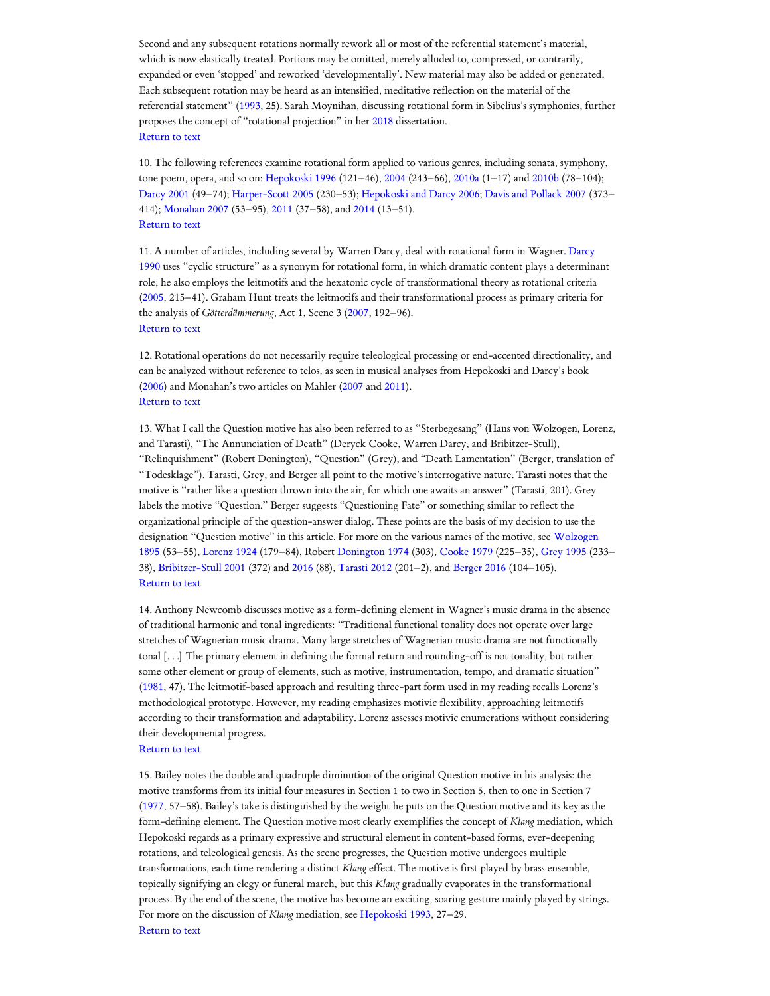Second and any subsequent rotations normally rework all or most of the referential statement's material, which is now elastically treated. Portions may be omitted, merely alluded to, compressed, or contrarily, expanded or even 'stopped' and reworked 'developmentally'. New material may also be added or generated. Each subsequent rotation may be heard as an intensified, meditative reflection on the material of the referential statement" [\(1993](#page-8-3), 25). Sarah Moynihan, discussing rotational form in Sibelius's symphonies, further proposes the concept of "rotational projection" in her [2018](#page-9-8) dissertation. [Return](#page-1-5) to text

<span id="page-11-0"></span>10. The following references examine rotational form applied to various genres, including sonata, symphony, tone poem, opera, and so on: [Hepokoski](#page-8-6) 1996 (121–46), [2004](#page-8-7) (243–66), [2010a](#page-8-8) (1–17) and [2010b](#page-8-9) (78–104); [Darcy](#page-8-10) 2001 (49–74); [Harper-Scott](#page-8-11) 2005 (230–53); [Hepokoski](#page-8-12) and Darcy 2006; Davis [and Pollack 2007](#page-8-13) (373– 414); [Monahan](#page-9-9) 2007 (53–95), [2011](#page-9-10) (37–58), and [2014](#page-9-11) (13–51). [Return](#page-1-6) to text

<span id="page-11-1"></span>11. A number of articles, including several by Warren Darcy, deal with rotational form in Wagner. Darcy 1990 uses "cyclic [structure"](#page-8-14) as a synonym for rotational form, in which dramatic content plays a determinant role; he also employs the leitmotifs and the hexatonic cycle of transformational theory as rotational criteria [\(2005,](#page-8-15) 215–41). Graham Hunt treats the leitmotifs and their transformational process as primary criteria for the analysis of *Götterdämmerung*, Act 1, Scene 3 ([2007,](#page-8-16) 192–96). [Return](#page-1-7) to text

<span id="page-11-2"></span>12. Rotational operations do not necessarily require teleological processing or end-accented directionality, and can be analyzed without reference to telos, as seen in musical analyses from Hepokoski and Darcy's book [\(2006\)](#page-8-12) and Monahan's two articles on Mahler ([2007](#page-9-9) and [2011](#page-9-10)). [Return](#page-2-0) to text

<span id="page-11-3"></span>13. What I call the Question motive has also been referred to as "Sterbegesang" (Hans von Wolzogen, Lorenz, and Tarasti), "The Annunciation of Death" (Deryck Cooke, Warren Darcy, and Bribitzer-Stull), "Relinquishment" (Robert Donington), "Question" (Grey), and "Death Lamentation" (Berger, translation of "Todesklage"). Tarasti, Grey, and Berger all point to the motive's interrogative nature. Tarasti notes that the motive is "rather like a question thrown into the air, for which one awaits an answer" (Tarasti, 201). Grey labels the motive "Question." Berger suggests "Questioning Fate" or something similar to reflect the organizational principle of the question-answer dialog. These points are the basis of my decision to use the [designation](#page-9-12) "Question motive" in this article. For more on the various names of the motive, see Wolzogen 1895 (53–55), [Lorenz](#page-9-2) 1924 (179–84), Robert [Donington](#page-8-17) 1974 (303), [Cooke](#page-8-18) 1979 (225–35), [Grey](#page-8-0) 1995 (233– 38), [Bribitzer-Stull](#page-8-19) 2001 (372) and [2016](#page-8-1) (88), [Tarasti](#page-9-4) 2012 (201–2), and [Berger](#page-8-2) 2016 (104–105). [Return](#page-2-1) to text

<span id="page-11-4"></span>14. Anthony Newcomb discusses motive as a form-defining element in Wagner's music drama in the absence of traditional harmonic and tonal ingredients: "Traditional functional tonality does not operate over large stretches of Wagnerian music drama. Many large stretches of Wagnerian music drama are not functionally tonal [. . .] The primary element in defining the formal return and rounding-off is not tonality, but rather some other element or group of elements, such as motive, instrumentation, tempo, and dramatic situation" [\(1981](#page-9-13), 47). The leitmotif-based approach and resulting three-part form used in my reading recalls Lorenz's methodological prototype. However, my reading emphasizes motivic flexibility, approaching leitmotifs according to their transformation and adaptability. Lorenz assesses motivic enumerations without considering their developmental progress.

#### [Return](#page-2-2) to text

<span id="page-11-5"></span>15. Bailey notes the double and quadruple diminution of the original Question motive in his analysis: the motive transforms from its initial four measures in Section 1 to two in Section 5, then to one in Section 7 [\(1977,](#page-8-4) 57–58). Bailey's take is distinguished by the weight he puts on the Question motive and its key as the form-defining element. The Question motive most clearly exemplifies the concept of *Klang* mediation, which Hepokoski regards as a primary expressive and structural element in content-based forms, ever-deepening rotations, and teleological genesis. As the scene progresses, the Question motive undergoes multiple transformations, each time rendering a distinct *Klang* effect. The motive is first played by brass ensemble, topically signifying an elegy or funeral march, but this *Klang* gradually evaporates in the transformational process. By the end of the scene, the motive has become an exciting, soaring gesture mainly played by strings. For more on the discussion of *Klang* mediation, see [Hepokoski](#page-8-3) 1993, 27–29. [Return](#page-2-3) to text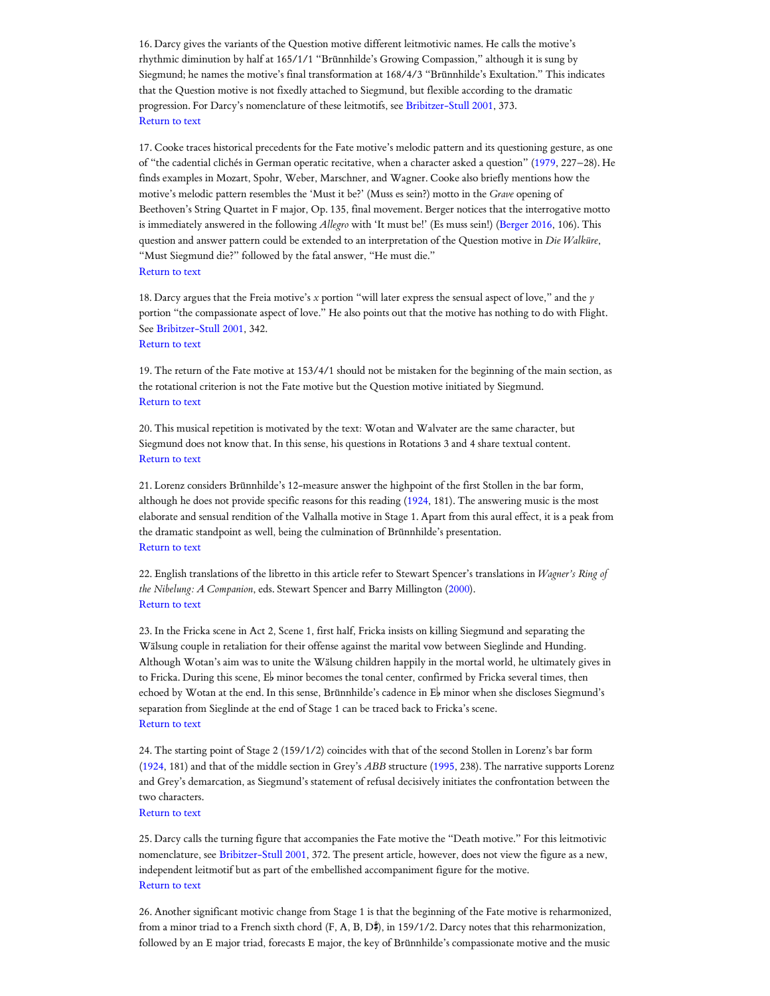<span id="page-12-0"></span>16. Darcy gives the variants of the Question motive different leitmotivic names. He calls the motive's rhythmic diminution by half at 165/1/1 "Brünnhilde's Growing Compassion," although it is sung by Siegmund; he names the motive's final transformation at 168/4/3 "Brünnhilde's Exultation." This indicates that the Question motive is not fixedly attached to Siegmund, but flexible according to the dramatic progression. For Darcy's nomenclature of these leitmotifs, see [Bribitzer-Stull](#page-8-19) 2001, 373. [Return](#page-2-4) to text

<span id="page-12-1"></span>17. Cooke traces historical precedents for the Fate motive's melodic pattern and its questioning gesture, as one of "the cadential clichés in German operatic recitative, when a character asked a question" ([1979](#page-8-18), 227–28). He finds examples in Mozart, Spohr, Weber, Marschner, and Wagner. Cooke also briefly mentions how the motive's melodic pattern resembles the 'Must it be?' (Muss es sein?) motto in the *Grave* opening of Beethoven's String Quartet in F major, Op. 135, final movement. Berger notices that the interrogative motto is immediately answered in the following *Allegro* with 'It must be!' (Es muss sein!) ([Berger](#page-8-2) 2016, 106). This question and answer pattern could be extended to an interpretation of the Question motive in *Die Walküre*, "Must Siegmund die?" followed by the fatal answer, "He must die." [Return](#page-2-5) to text

<span id="page-12-2"></span>18. Darcy argues that the Freia motive's *x* portion "will later express the sensual aspect of love," and the *y* portion "the compassionate aspect of love." He also points out that the motive has nothing to do with Flight. See [Bribitzer-Stull](#page-8-19) 2001, 342. [Return](#page-3-0) to text

<span id="page-12-3"></span>19. The return of the Fate motive at 153/4/1 should not be mistaken for the beginning of the main section, as the rotational criterion is not the Fate motive but the Question motive initiated by Siegmund. [Return](#page-3-1) to text

<span id="page-12-4"></span>20. This musical repetition is motivated by the text: Wotan and Walvater are the same character, but Siegmund does not know that. In this sense, his questions in Rotations 3 and 4 share textual content. [Return](#page-4-0) to text

<span id="page-12-5"></span>21. Lorenz considers Brünnhilde's 12-measure answer the highpoint of the first Stollen in the bar form, although he does not provide specific reasons for this reading [\(1924](#page-9-2), 181). The answering music is the most elaborate and sensual rendition of the Valhalla motive in Stage 1. Apart from this aural effect, it is a peak from the dramatic standpoint as well, being the culmination of Brünnhilde's presentation. [Return](#page-4-1) to text

<span id="page-12-6"></span>22. English translations of the libretto in this article refer to Stewart Spencer's translations in *Wagner's Ring of the Nibelung: A Companion*, eds. Stewart Spencer and Barry Millington [\(2000](#page-9-14)). [Return](#page-4-2) to text

<span id="page-12-7"></span>23. In the Fricka scene in Act 2, Scene 1, first half, Fricka insists on killing Siegmund and separating the Wälsung couple in retaliation for their offense against the marital vow between Sieglinde and Hunding. Although Wotan's aim was to unite the Wälsung children happily in the mortal world, he ultimately gives in to Fricka. During this scene,  $E^{\flat}$  minor becomes the tonal center, confirmed by Fricka several times, then echoed by Wotan at the end. In this sense, Brünnhilde's cadence in  $E^{\flat}$  minor when she discloses Siegmund's separation from Sieglinde at the end of Stage 1 can be traced back to Fricka's scene. [Return](#page-4-3) to text

<span id="page-12-8"></span>24. The starting point of Stage 2 (159/1/2) coincides with that of the second Stollen in Lorenz's bar form [\(1924,](#page-9-2) 181) and that of the middle section in Grey's *ABB* structure [\(1995,](#page-8-0) 238). The narrative supports Lorenz and Grey's demarcation, as Siegmund's statement of refusal decisively initiates the confrontation between the two characters.

[Return](#page-5-0) to text

<span id="page-12-9"></span>25. Darcy calls the turning figure that accompanies the Fate motive the "Death motive." For this leitmotivic nomenclature, see [Bribitzer-Stull](#page-8-19) 2001, 372. The present article, however, does not view the figure as a new, independent leitmotif but as part of the embellished accompaniment figure for the motive. [Return](#page-5-1) to text

<span id="page-12-10"></span>26. Another significant motivic change from Stage 1 is that the beginning of the Fate motive is reharmonized, from a minor triad to a French sixth chord (F, A, B, D#), in 159/1/2. Darcy notes that this reharmonization, followed by an E major triad, forecasts E major, the key of Brünnhilde's compassionate motive and the music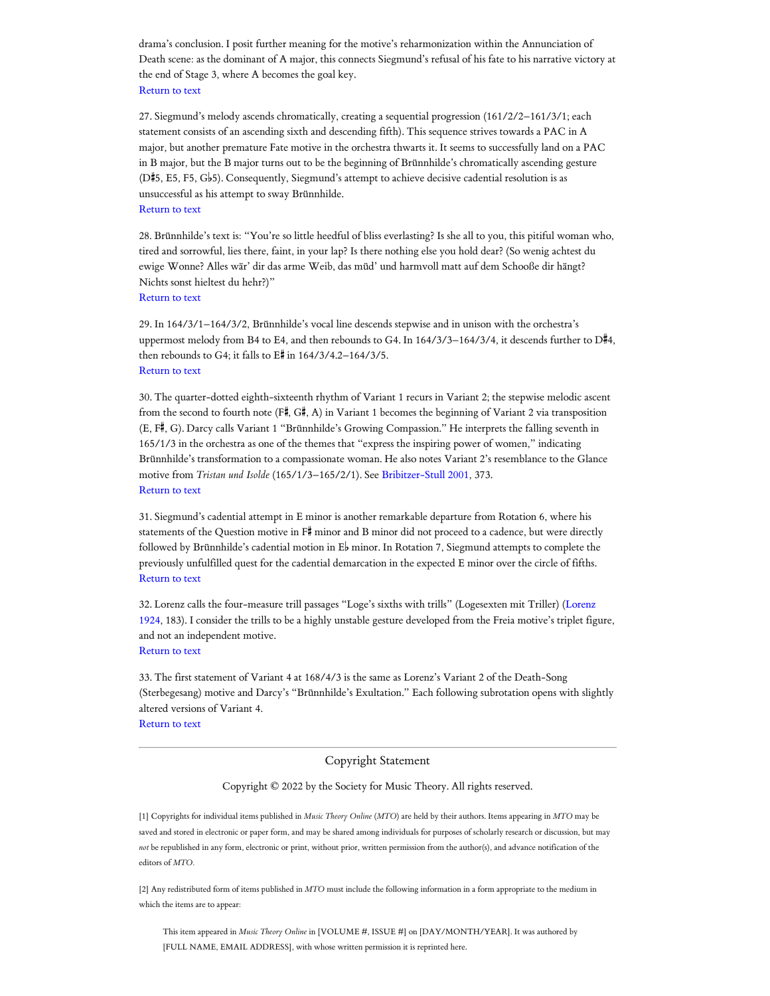drama's conclusion. I posit further meaning for the motive's reharmonization within the Annunciation of Death scene: as the dominant of A major, this connects Siegmund's refusal of his fate to his narrative victory at the end of Stage 3, where A becomes the goal key. [Return](#page-5-2) to text

<span id="page-13-0"></span>27. Siegmund's melody ascends chromatically, creating a sequential progression (161/2/2–161/3/1; each statement consists of an ascending sixth and descending fifth). This sequence strives towards a PAC in A major, but another premature Fate motive in the orchestra thwarts it. It seems to successfully land on a PAC in B major, but the B major turns out to be the beginning of Brünnhilde's chromatically ascending gesture  $(D#5, E5, F5, G\night5)$ . Consequently, Siegmund's attempt to achieve decisive cadential resolution is as unsuccessful as his attempt to sway Brünnhilde. [Return](#page-5-3) to text

<span id="page-13-1"></span>28. Brünnhilde's text is: "You're so little heedful of bliss everlasting? Is she all to you, this pitiful woman who, tired and sorrowful, lies there, faint, in your lap? Is there nothing else you hold dear? (So wenig achtest du ewige Wonne? Alles wär' dir das arme Weib, das müd' und harmvoll matt auf dem Schooße dir hängt? Nichts sonst hieltest du hehr?)"

[Return](#page-5-4) to text

<span id="page-13-2"></span>29. In 164/3/1–164/3/2, Brünnhilde's vocal line descends stepwise and in unison with the orchestra's uppermost melody from B4 to E4, and then rebounds to G4. In  $164/3/3-164/3/4$ , it descends further to  $D#4$ , then rebounds to G4; it falls to  $E#$  in  $164/3/4.2-164/3/5$ . [Return](#page-6-0) to text

<span id="page-13-3"></span>30. The quarter-dotted eighth-sixteenth rhythm of Variant 1 recurs in Variant 2; the stepwise melodic ascent from the second to fourth note (F#, G#, A) in Variant 1 becomes the beginning of Variant 2 via transposition (E, F#, G). Darcy calls Variant 1 "Brünnhilde's Growing Compassion." He interprets the falling seventh in 165/1/3 in the orchestra as one of the themes that "express the inspiring power of women," indicating Brünnhilde's transformation to a compassionate woman. He also notes Variant 2's resemblance to the Glance motive from *Tristan und Isolde* (165/1/3–165/2/1). See [Bribitzer-Stull](#page-8-19) 2001, 373. [Return](#page-6-1) to text

<span id="page-13-4"></span>31. Siegmund's cadential attempt in E minor is another remarkable departure from Rotation 6, where his statements of the Question motive in  $F^{\sharp}$  minor and B minor did not proceed to a cadence, but were directly followed by Brünnhilde's cadential motion in  $E^{\parallel}$  minor. In Rotation 7, Siegmund attempts to complete the previously unfulfilled quest for the cadential demarcation in the expected E minor over the circle of fifths. [Return](#page-6-2) to text

<span id="page-13-5"></span>32. Lorenz calls the four-measure trill passages "Loge's sixths with trills" (Logesexten mit Triller) (Lorenz 1924, 183). I consider the trills to be a highly unstable gesture [developed from](#page-9-2) the Freia motive's triplet figure, and not an independent motive. [Return](#page-6-3) to text

<span id="page-13-6"></span>33. The first statement of Variant 4 at 168/4/3 is the same as Lorenz's Variant 2 of the Death-Song (Sterbegesang) motive and Darcy's "Brünnhilde's Exultation." Each following subrotation opens with slightly altered versions of Variant 4.

[Return](#page-6-4) to text

#### Copyright Statement

#### Copyright © 2022 by the Society for Music Theory. All rights reserved.

[1] Copyrights for individual items published in *Music Theory Online* (*MTO*) are held by their authors. Items appearing in *MTO* may be saved and stored in electronic or paper form, and may be shared among individuals for purposes of scholarly research or discussion, but may *not* be republished in any form, electronic or print, without prior, written permission from the author(s), and advance notification of the editors of *MTO.*

[2] Any redistributed form of items published in *MTO* must include the following information in a form appropriate to the medium in which the items are to appear:

This item appeared in *Music Theory Online* in [VOLUME #, ISSUE #] on [DAY/MONTH/YEAR]. It was authored by [FULL NAME, EMAIL ADDRESS], with whose written permission it is reprinted here.